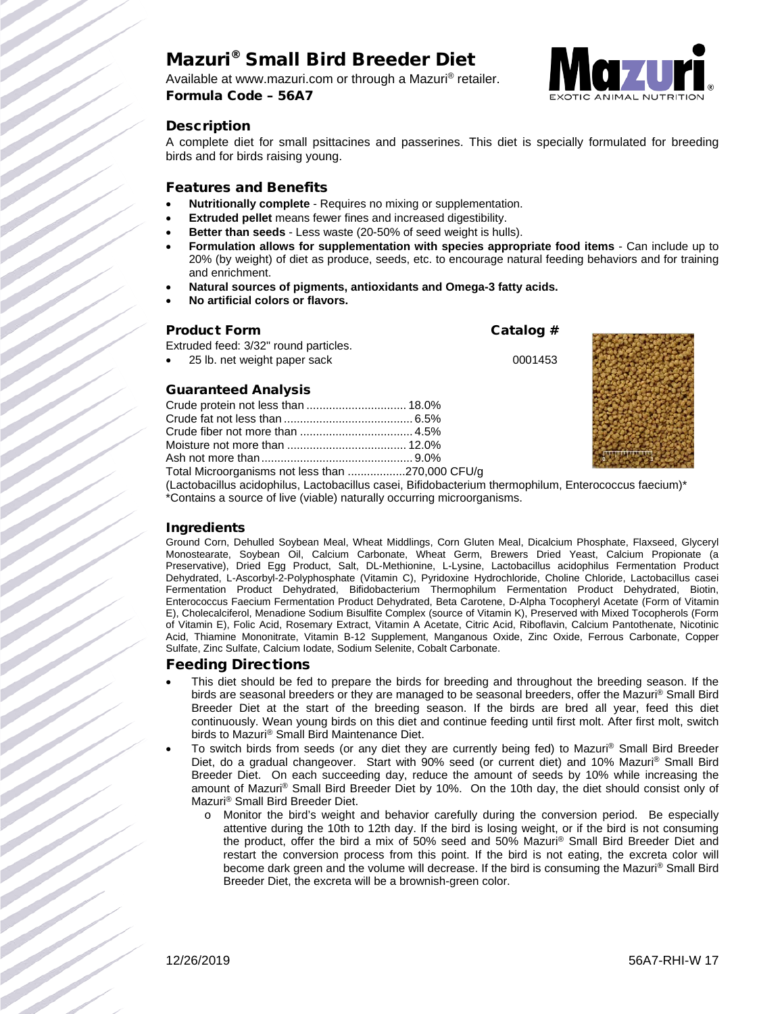# Mazuri® Small Bird Breeder Diet

Available at www.mazuri.com or through a Mazuri® retailer. Formula Code – 56A7



#### **Description**

A complete diet for small psittacines and passerines. This diet is specially formulated for breeding birds and for birds raising young.

#### Features and Benefits

- **Nutritionally complete** Requires no mixing or supplementation.
- **Extruded pellet** means fewer fines and increased digestibility.
- **Better than seeds** Less waste (20-50% of seed weight is hulls).
- **Formulation allows for supplementation with species appropriate food items** Can include up to 20% (by weight) of diet as produce, seeds, etc. to encourage natural feeding behaviors and for training and enrichment.
- **Natural sources of pigments, antioxidants and Omega-3 fatty acids.**
- **No artificial colors or flavors.**

#### Product Form **Catalog #**

Extruded feed: 3/32" round particles.

• 25 lb. net weight paper sack 0001453

#### Guaranteed Analysis

| Crude protein not less than  18.0%                                                                                                                                                                                                |  |
|-----------------------------------------------------------------------------------------------------------------------------------------------------------------------------------------------------------------------------------|--|
|                                                                                                                                                                                                                                   |  |
|                                                                                                                                                                                                                                   |  |
|                                                                                                                                                                                                                                   |  |
|                                                                                                                                                                                                                                   |  |
| Total Microorganisms not less than 270,000 CFU/g                                                                                                                                                                                  |  |
| $\alpha$ , and a set of the set of the set of the set of the set of the set of the set of the set of the set of the set of the set of the set of the set of the set of the set of the set of the set of the set of the set of the |  |



(Lactobacillus acidophilus, Lactobacillus casei, Bifidobacterium thermophilum, Enterococcus faecium)\* \*Contains a source of live (viable) naturally occurring microorganisms.

#### Ingredients

Ground Corn, Dehulled Soybean Meal, Wheat Middlings, Corn Gluten Meal, Dicalcium Phosphate, Flaxseed, Glyceryl Monostearate, Soybean Oil, Calcium Carbonate, Wheat Germ, Brewers Dried Yeast, Calcium Propionate (a Preservative), Dried Egg Product, Salt, DL-Methionine, L-Lysine, Lactobacillus acidophilus Fermentation Product Dehydrated, L-Ascorbyl-2-Polyphosphate (Vitamin C), Pyridoxine Hydrochloride, Choline Chloride, Lactobacillus casei Fermentation Product Dehydrated, Bifidobacterium Thermophilum Fermentation Product Dehydrated, Biotin, Enterococcus Faecium Fermentation Product Dehydrated, Beta Carotene, D-Alpha Tocopheryl Acetate (Form of Vitamin E), Cholecalciferol, Menadione Sodium Bisulfite Complex (source of Vitamin K), Preserved with Mixed Tocopherols (Form of Vitamin E), Folic Acid, Rosemary Extract, Vitamin A Acetate, Citric Acid, Riboflavin, Calcium Pantothenate, Nicotinic Acid, Thiamine Mononitrate, Vitamin B-12 Supplement, Manganous Oxide, Zinc Oxide, Ferrous Carbonate, Copper Sulfate, Zinc Sulfate, Calcium Iodate, Sodium Selenite, Cobalt Carbonate.

## Feeding Directions

- This diet should be fed to prepare the birds for breeding and throughout the breeding season. If the birds are seasonal breeders or they are managed to be seasonal breeders, offer the Mazuri ® Small Bird Breeder Diet at the start of the breeding season. If the birds are bred all year, feed this diet continuously. Wean young birds on this diet and continue feeding until first molt. After first molt, switch birds to Mazuri® Small Bird Maintenance Diet.
- To switch birds from seeds (or any diet they are currently being fed) to Mazuri® Small Bird Breeder Diet, do a gradual changeover. Start with 90% seed (or current diet) and 10% Mazuri<sup>®</sup> Small Bird Breeder Diet. On each succeeding day, reduce the amount of seeds by 10% while increasing the amount of Mazuri® Small Bird Breeder Diet by 10%. On the 10th day, the diet should consist only of Mazuri® Small Bird Breeder Diet.
	- o Monitor the bird's weight and behavior carefully during the conversion period. Be especially attentive during the 10th to 12th day. If the bird is losing weight, or if the bird is not consuming the product, offer the bird a mix of 50% seed and 50% Mazuri® Small Bird Breeder Diet and restart the conversion process from this point. If the bird is not eating, the excreta color will become dark green and the volume will decrease. If the bird is consuming the Mazuri<sup>®</sup> Small Bird Breeder Diet, the excreta will be a brownish-green color.